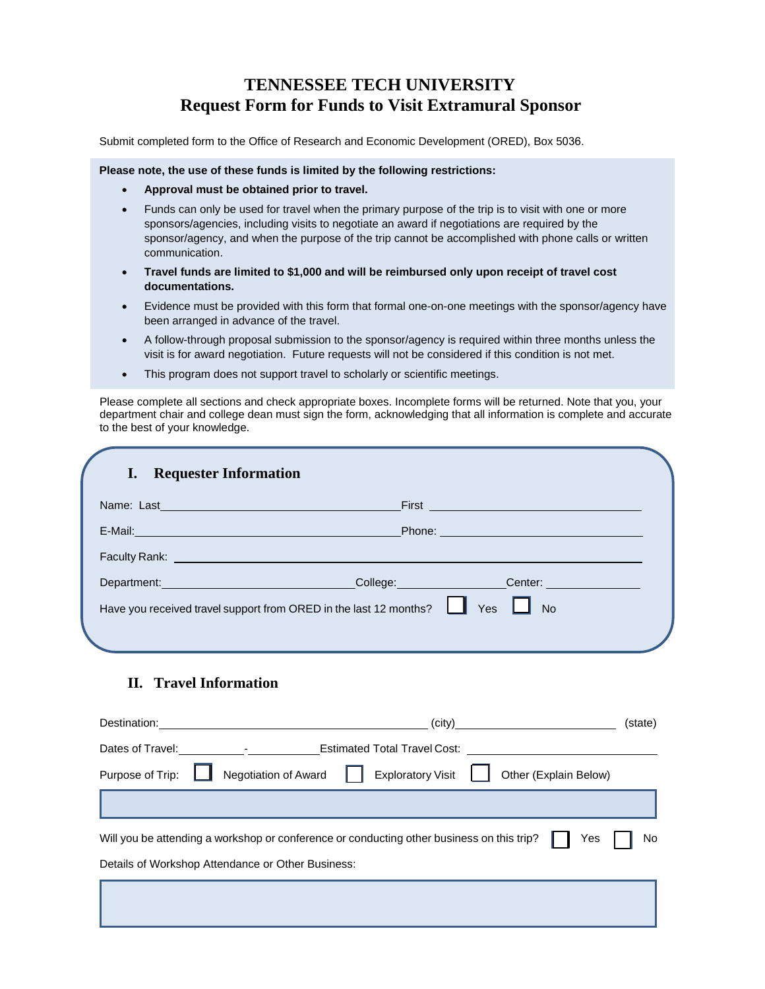# **TENNESSEE TECH UNIVERSITY Request Form for Funds to Visit Extramural Sponsor**

Submit completed form to the Office of Research and Economic Development (ORED), Box 5036.

#### **Please note, the use of these funds is limited by the following restrictions:**

- **Approval must be obtained prior to travel.**
- Funds can only be used for travel when the primary purpose of the trip is to visit with one or more sponsors/agencies, including visits to negotiate an award if negotiations are required by the sponsor/agency, and when the purpose of the trip cannot be accomplished with phone calls or written communication.
- **Travel funds are limited to \$1,000 and will be reimbursed only upon receipt of travel cost documentations.**
- Evidence must be provided with this form that formal one-on-one meetings with the sponsor/agency have been arranged in advance of the travel.
- A follow-through proposal submission to the sponsor/agency is required within three months unless the visit is for award negotiation. Future requests will not be considered if this condition is not met.
- This program does not support travel to scholarly or scientific meetings.

Please complete all sections and check appropriate boxes. Incomplete forms will be returned. Note that you, your department chair and college dean must sign the form, acknowledging that all information is complete and accurate to the best of your knowledge.

| <b>Requester Information</b>                                                                                                                                                                                                         |                                                                                                                                                                                                                                      |  |
|--------------------------------------------------------------------------------------------------------------------------------------------------------------------------------------------------------------------------------------|--------------------------------------------------------------------------------------------------------------------------------------------------------------------------------------------------------------------------------------|--|
|                                                                                                                                                                                                                                      | First <b>Executive Contract of Contract Contract Contract Contract Contract Contract Contract Contract Contract Contract Contract Contract Contract Contract Contract Contract Contract Contract Contract Contract Contract Cont</b> |  |
|                                                                                                                                                                                                                                      | Phone: <u>__________________________________</u>                                                                                                                                                                                     |  |
| Faculty Rank: <u>New York: New York: New York: New York: New York: New York: New York: New York: New York: New York: New York: New York: New York: New York: New York: New York: New York: New York: New York: New York: New Yor</u> |                                                                                                                                                                                                                                      |  |
| Department: Note and the series of the series of the series of the series of the series of the series of the series of the series of the series of the series of the series of the series of the series of the series of the s       | College: Conter:                                                                                                                                                                                                                     |  |
| Have you received travel support from ORED in the last 12 months?                                                                                                                                                                    | Yes<br><b>No</b>                                                                                                                                                                                                                     |  |
|                                                                                                                                                                                                                                      |                                                                                                                                                                                                                                      |  |

## **II. Travel Information**

| Destination:                                                                                           | $\text{(city)}$<br>(state)                                                                                                                                                                                                     |  |  |  |
|--------------------------------------------------------------------------------------------------------|--------------------------------------------------------------------------------------------------------------------------------------------------------------------------------------------------------------------------------|--|--|--|
|                                                                                                        | Dates of Travel: The Contract Contract Contract Contract Contract Contract Contract Contract Contract Contract Contract Contract Contract Contract Contract Contract Contract Contract Contract Contract Contract Contract Con |  |  |  |
| Purpose of Trip:                                                                                       | Exploratory Visit   Other (Explain Below)<br><b>Negotiation of Award</b>                                                                                                                                                       |  |  |  |
|                                                                                                        |                                                                                                                                                                                                                                |  |  |  |
| No<br>Will you be attending a workshop or conference or conducting other business on this trip?<br>Yes |                                                                                                                                                                                                                                |  |  |  |
| Details of Workshop Attendance or Other Business:                                                      |                                                                                                                                                                                                                                |  |  |  |
|                                                                                                        |                                                                                                                                                                                                                                |  |  |  |